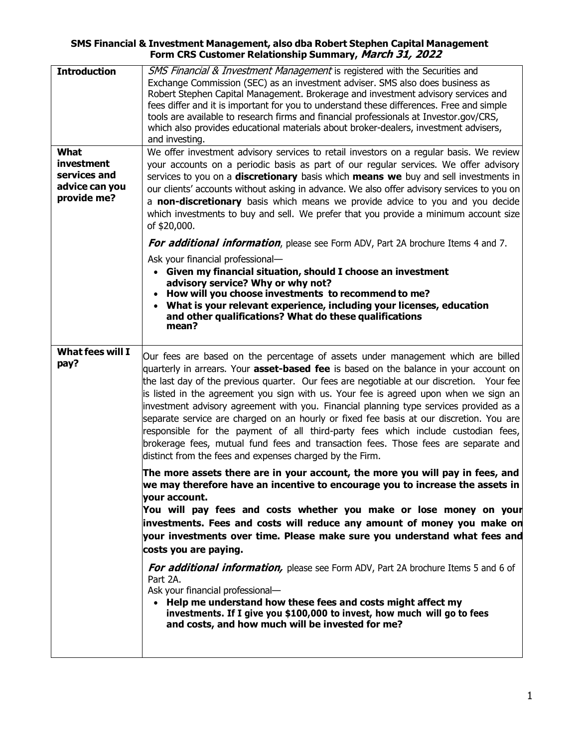## **SMS Financial & Investment Management, also dba Robert Stephen Capital Management Form CRS Customer Relationship Summary, March 31, 2022**

| <b>Introduction</b><br>What<br>investment     | SMS Financial & Investment Management is registered with the Securities and<br>Exchange Commission (SEC) as an investment adviser. SMS also does business as<br>Robert Stephen Capital Management. Brokerage and investment advisory services and<br>fees differ and it is important for you to understand these differences. Free and simple<br>tools are available to research firms and financial professionals at Investor.gov/CRS,<br>which also provides educational materials about broker-dealers, investment advisers,<br>and investing.<br>We offer investment advisory services to retail investors on a regular basis. We review<br>your accounts on a periodic basis as part of our regular services. We offer advisory                                                              |
|-----------------------------------------------|---------------------------------------------------------------------------------------------------------------------------------------------------------------------------------------------------------------------------------------------------------------------------------------------------------------------------------------------------------------------------------------------------------------------------------------------------------------------------------------------------------------------------------------------------------------------------------------------------------------------------------------------------------------------------------------------------------------------------------------------------------------------------------------------------|
| services and<br>advice can you<br>provide me? | services to you on a discretionary basis which means we buy and sell investments in<br>our clients' accounts without asking in advance. We also offer advisory services to you on<br>a non-discretionary basis which means we provide advice to you and you decide<br>which investments to buy and sell. We prefer that you provide a minimum account size<br>of \$20,000.<br>For additional information, please see Form ADV, Part 2A brochure Items 4 and 7.                                                                                                                                                                                                                                                                                                                                    |
|                                               | Ask your financial professional-<br>Given my financial situation, should I choose an investment<br>$\bullet$<br>advisory service? Why or why not?<br>How will you choose investments to recommend to me?<br>What is your relevant experience, including your licenses, education<br>$\bullet$<br>and other qualifications? What do these qualifications<br>mean?                                                                                                                                                                                                                                                                                                                                                                                                                                  |
| <b>What fees will I</b><br>pay?               | Our fees are based on the percentage of assets under management which are billed<br>quarterly in arrears. Your <b>asset-based fee</b> is based on the balance in your account on<br>the last day of the previous quarter. Our fees are negotiable at our discretion. Your fee<br>is listed in the agreement you sign with us. Your fee is agreed upon when we sign an<br>investment advisory agreement with you. Financial planning type services provided as a<br>separate service are charged on an hourly or fixed fee basis at our discretion. You are<br>responsible for the payment of all third-party fees which include custodian fees,<br>brokerage fees, mutual fund fees and transaction fees. Those fees are separate and<br>distinct from the fees and expenses charged by the Firm. |
|                                               | The more assets there are in your account, the more you will pay in fees, and<br>we may therefore have an incentive to encourage you to increase the assets in<br>your account.<br>You will pay fees and costs whether you make or lose money on your<br>investments. Fees and costs will reduce any amount of money you make on<br>your investments over time. Please make sure you understand what fees and<br>costs you are paying.                                                                                                                                                                                                                                                                                                                                                            |
|                                               | For additional information, please see Form ADV, Part 2A brochure Items 5 and 6 of<br>Part 2A.<br>Ask your financial professional-<br>• Help me understand how these fees and costs might affect my<br>investments. If I give you \$100,000 to invest, how much will go to fees<br>and costs, and how much will be invested for me?                                                                                                                                                                                                                                                                                                                                                                                                                                                               |